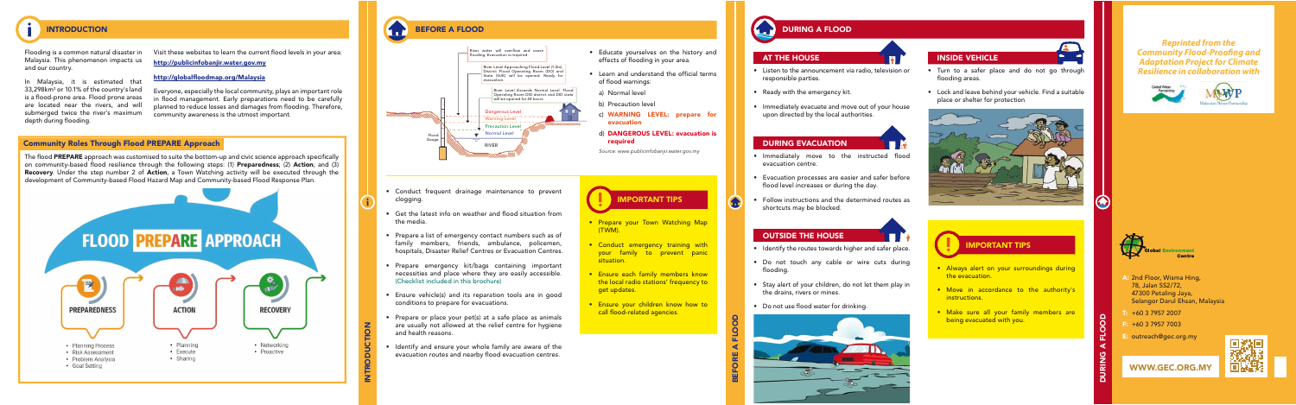INTRODUCTION

BEFORE A FLOOD

DURING A FLOOD

In Malaysia, it is estimated that 33,298km2 or 10.1% of the country's land is a flood-prone area. Flood prone areas are located near the rivers, and will submerged twice the river's maximum depth during flooding.

Visit these websites to learn the current flood levels in your area:

Flooding is a common natural disaster in Malaysia. This phenomenon impacts us and our country.

The flood PREPARE approach was customised to suite the bottom-up and civic science approach specifically on community-based flood resilience through the following steps: (1) Preparedness; (2) Action; and (3) Recovery. Under the step number 2 of Action, a Town Watching activity will be executed through the development of Community-based Flood Hazard Map and Community-based Flood Response Plan.



- Conduct frequent drainage maintenance to prevent clogging.
- Get the latest info on weather and flood situation from the media.
- Prepare a list of emergency contact numbers such as of family members, friends, ambulance, policemen, hospitals, Disaster Relief Centres or Evacuation Centres.
- Prepare emergency kit/bags containing important necessities and place where they are easily accessible. (Checklist included in this brochure)
- Ensure vehicle(s) and its reparation tools are in good conditions to prepare for evacuations.
- Prepare or place your pet(s) at a safe place as animals are usually not allowed at the relief centre for hygiene and health reasons.
- Identify and ensure your whole family are aware of the evacuation routes and nearby flood evacuation centres.

http://publicinfobanjir.water.gov.my

### http://globalfloodmap.org/Malaysia

Everyone, especially the local community, plays an important role in flood management. Early preparations need to be carefully planned to reduce losses and damages from flooding. Therefore, community awareness is the utmost important.

- Educate yourselves on the history and effects of flooding in your area.
- Learn and understand the official terms of flood warnings:
- a) Normal level
- b) Precaution level
- c) WARNING LEVEL: prepare for evacuation
- d) DANGEROUS LEVEL: evacuation is required

• Turn to a safer place and do not go through flooding areas.

**Section** 

*Source: www.publicinfobanjir.water.gov.my*

- Prepare your Town Watching Map (TWM).
- Conduct emergency training with your family to prevent panic situation.
- Ensure each family members know the local radio stations' frequency to get updates.
- Ensure your children know how to call flood-related agencies.

### $\bigoplus$ DURING A FLOOD

- Listen to the announcement via radio, television or responsible parties.
- Ready with the emergency kit.
- Immediately evacuate and move out of your house upon directed by the local authorities.

- Immediately move to the instructed flood evacuation centre.
- Evacuation processes are easier and safer before flood level increases or during the day.
- Follow instructions and the determined routes as shortcuts may be blocked.

• Lock and leave behind your vehicle. Find a suitable place or shelter for protection



• Always alert on your surroundings during

the evacuation.

• Move in accordance to the authority's

instructions.





• Make sure all your family members are

being evacuated with you.

### OUTSIDE THE HOUSE

- Identify the routes towards higher and safer place.
- Do not touch any cable or wire cuts during floodina.
- Stay alert of your children, do not let them play in the drains, rivers or mines.
- Do not use flood water for drinking.



## AT THE HOUSE **INSIDE VEHICLE**

### DURING EVACUATION



*Reprinted from the* **Community Flood-Proofing and** *Adaptation Project for Climate Resilience in collaboration with* 

- A: 2nd Floor, Wisma Hing, 78, Jalan SS2/72, 47300 Petaling Jaya,
- T: +60 3 7957 2007
- F: +60 3 7957 7003
- E: outreach@gec.org.my

Selangor Darul Ehsan, Malaysia

**Centre** 

**ironment** 







### INTRODUCTION BEFORE A FLOOD

### Community Roles Through Flood PREPARE Approach



### IMPORTANT TIPS

IMPORTANT TIPS